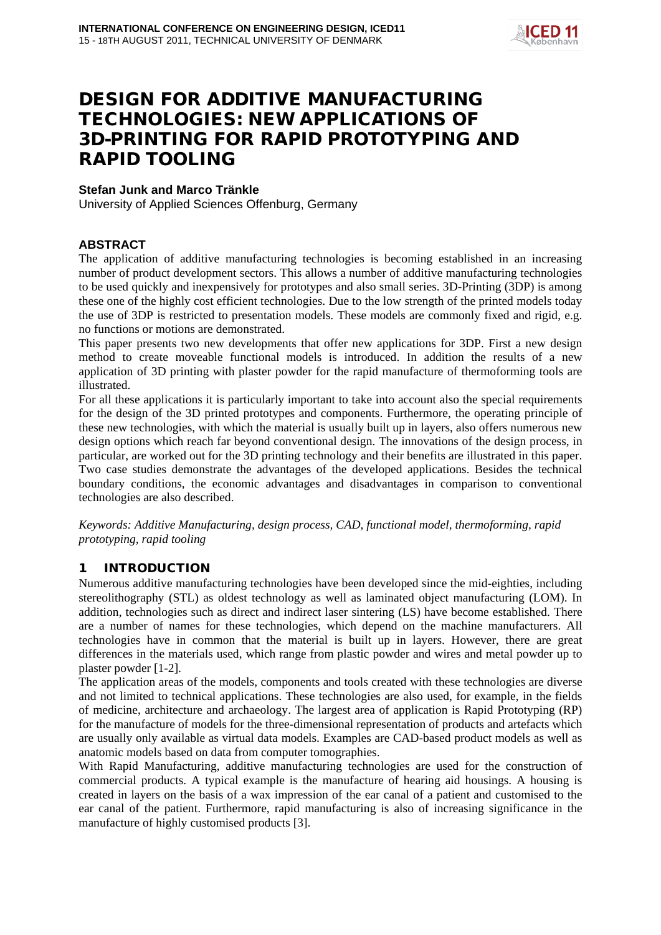

# DESIGN FOR ADDITIVE MANUFACTURING TECHNOLOGIES: NEW APPLICATIONS OF 3D-PRINTING FOR RAPID PROTOTYPING AND RAPID TOOLING

#### **Stefan Junk and Marco Tränkle**

University of Applied Sciences Offenburg, Germany

### **ABSTRACT**

The application of additive manufacturing technologies is becoming established in an increasing number of product development sectors. This allows a number of additive manufacturing technologies to be used quickly and inexpensively for prototypes and also small series. 3D-Printing (3DP) is among these one of the highly cost efficient technologies. Due to the low strength of the printed models today the use of 3DP is restricted to presentation models. These models are commonly fixed and rigid, e.g. no functions or motions are demonstrated.

This paper presents two new developments that offer new applications for 3DP. First a new design method to create moveable functional models is introduced. In addition the results of a new application of 3D printing with plaster powder for the rapid manufacture of thermoforming tools are illustrated.

For all these applications it is particularly important to take into account also the special requirements for the design of the 3D printed prototypes and components. Furthermore, the operating principle of these new technologies, with which the material is usually built up in layers, also offers numerous new design options which reach far beyond conventional design. The innovations of the design process, in particular, are worked out for the 3D printing technology and their benefits are illustrated in this paper. Two case studies demonstrate the advantages of the developed applications. Besides the technical boundary conditions, the economic advantages and disadvantages in comparison to conventional technologies are also described.

*Keywords: Additive Manufacturing, design process, CAD, functional model, thermoforming, rapid prototyping, rapid tooling*

# 1 INTRODUCTION

Numerous additive manufacturing technologies have been developed since the mid-eighties, including stereolithography (STL) as oldest technology as well as laminated object manufacturing (LOM). In addition, technologies such as direct and indirect laser sintering (LS) have become established. There are a number of names for these technologies, which depend on the machine manufacturers. All technologies have in common that the material is built up in layers. However, there are great differences in the materials used, which range from plastic powder and wires and metal powder up to plaster powder [1-2].

The application areas of the models, components and tools created with these technologies are diverse and not limited to technical applications. These technologies are also used, for example, in the fields of medicine, architecture and archaeology. The largest area of application is Rapid Prototyping (RP) for the manufacture of models for the three-dimensional representation of products and artefacts which are usually only available as virtual data models. Examples are CAD-based product models as well as anatomic models based on data from computer tomographies.

With Rapid Manufacturing, additive manufacturing technologies are used for the construction of commercial products. A typical example is the manufacture of hearing aid housings. A housing is created in layers on the basis of a wax impression of the ear canal of a patient and customised to the ear canal of the patient. Furthermore, rapid manufacturing is also of increasing significance in the manufacture of highly customised products [3].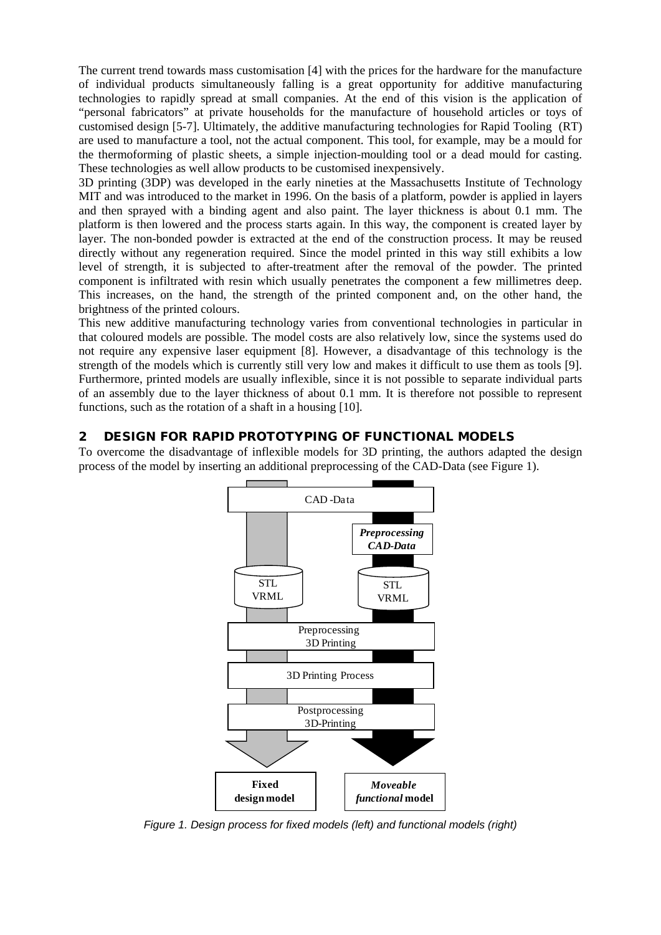The current trend towards mass customisation [4] with the prices for the hardware for the manufacture of individual products simultaneously falling is a great opportunity for additive manufacturing technologies to rapidly spread at small companies. At the end of this vision is the application of "personal fabricators" at private households for the manufacture of household articles or toys of customised design [5-7]. Ultimately, the additive manufacturing technologies for Rapid Tooling (RT) are used to manufacture a tool, not the actual component. This tool, for example, may be a mould for the thermoforming of plastic sheets, a simple injection-moulding tool or a dead mould for casting. These technologies as well allow products to be customised inexpensively.

3D printing (3DP) was developed in the early nineties at the Massachusetts Institute of Technology MIT and was introduced to the market in 1996. On the basis of a platform, powder is applied in layers and then sprayed with a binding agent and also paint. The layer thickness is about 0.1 mm. The platform is then lowered and the process starts again. In this way, the component is created layer by layer. The non-bonded powder is extracted at the end of the construction process. It may be reused directly without any regeneration required. Since the model printed in this way still exhibits a low level of strength, it is subjected to after-treatment after the removal of the powder. The printed component is infiltrated with resin which usually penetrates the component a few millimetres deep. This increases, on the hand, the strength of the printed component and, on the other hand, the brightness of the printed colours.

This new additive manufacturing technology varies from conventional technologies in particular in that coloured models are possible. The model costs are also relatively low, since the systems used do not require any expensive laser equipment [8]. However, a disadvantage of this technology is the strength of the models which is currently still very low and makes it difficult to use them as tools [9]. Furthermore, printed models are usually inflexible, since it is not possible to separate individual parts of an assembly due to the layer thickness of about 0.1 mm. It is therefore not possible to represent functions, such as the rotation of a shaft in a housing [10].

### 2 DESIGN FOR RAPID PROTOTYPING OF FUNCTIONAL MODELS

To overcome the disadvantage of inflexible models for 3D printing, the authors adapted the design process of the model by inserting an additional preprocessing of the CAD-Data (see Figure 1).



*Figure 1. Design process for fixed models (left) and functional models (right)*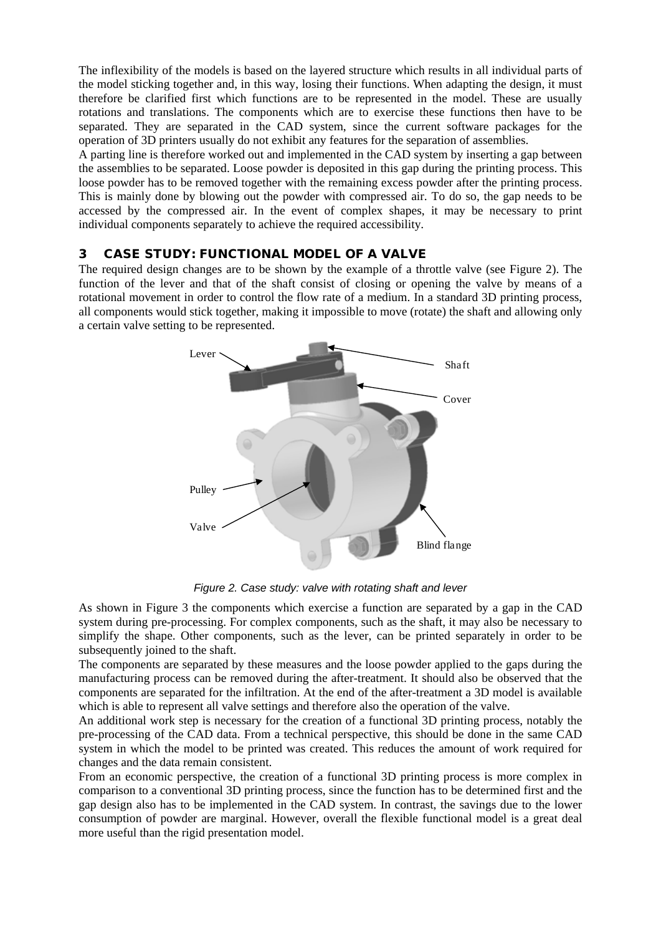The inflexibility of the models is based on the layered structure which results in all individual parts of the model sticking together and, in this way, losing their functions. When adapting the design, it must therefore be clarified first which functions are to be represented in the model. These are usually rotations and translations. The components which are to exercise these functions then have to be separated. They are separated in the CAD system, since the current software packages for the operation of 3D printers usually do not exhibit any features for the separation of assemblies.

A parting line is therefore worked out and implemented in the CAD system by inserting a gap between the assemblies to be separated. Loose powder is deposited in this gap during the printing process. This loose powder has to be removed together with the remaining excess powder after the printing process. This is mainly done by blowing out the powder with compressed air. To do so, the gap needs to be accessed by the compressed air. In the event of complex shapes, it may be necessary to print individual components separately to achieve the required accessibility.

### 3 CASE STUDY: FUNCTIONAL MODEL OF A VALVE

The required design changes are to be shown by the example of a throttle valve (see Figure 2). The function of the lever and that of the shaft consist of closing or opening the valve by means of a rotational movement in order to control the flow rate of a medium. In a standard 3D printing process, all components would stick together, making it impossible to move (rotate) the shaft and allowing only a certain valve setting to be represented.



*Figure 2. Case study: valve with rotating shaft and lever*

As shown in Figure 3 the components which exercise a function are separated by a gap in the CAD system during pre-processing. For complex components, such as the shaft, it may also be necessary to simplify the shape. Other components, such as the lever, can be printed separately in order to be subsequently joined to the shaft.

The components are separated by these measures and the loose powder applied to the gaps during the manufacturing process can be removed during the after-treatment. It should also be observed that the components are separated for the infiltration. At the end of the after-treatment a 3D model is available which is able to represent all valve settings and therefore also the operation of the valve.

An additional work step is necessary for the creation of a functional 3D printing process, notably the pre-processing of the CAD data. From a technical perspective, this should be done in the same CAD system in which the model to be printed was created. This reduces the amount of work required for changes and the data remain consistent.

From an economic perspective, the creation of a functional 3D printing process is more complex in comparison to a conventional 3D printing process, since the function has to be determined first and the gap design also has to be implemented in the CAD system. In contrast, the savings due to the lower consumption of powder are marginal. However, overall the flexible functional model is a great deal more useful than the rigid presentation model.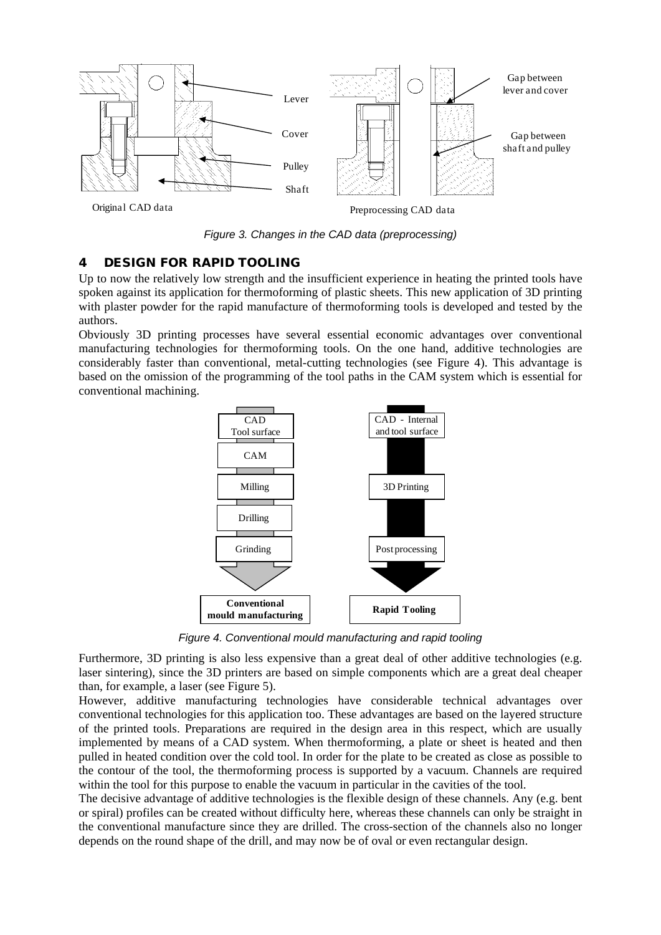

*Figure 3. Changes in the CAD data (preprocessing)*

### 4 DESIGN FOR RAPID TOOLING

Up to now the relatively low strength and the insufficient experience in heating the printed tools have spoken against its application for thermoforming of plastic sheets. This new application of 3D printing with plaster powder for the rapid manufacture of thermoforming tools is developed and tested by the authors.

Obviously 3D printing processes have several essential economic advantages over conventional manufacturing technologies for thermoforming tools. On the one hand, additive technologies are considerably faster than conventional, metal-cutting technologies (see Figure 4). This advantage is based on the omission of the programming of the tool paths in the CAM system which is essential for conventional machining.



*Figure 4. Conventional mould manufacturing and rapid tooling*

Furthermore, 3D printing is also less expensive than a great deal of other additive technologies (e.g. laser sintering), since the 3D printers are based on simple components which are a great deal cheaper than, for example, a laser (see Figure 5).

However, additive manufacturing technologies have considerable technical advantages over conventional technologies for this application too. These advantages are based on the layered structure of the printed tools. Preparations are required in the design area in this respect, which are usually implemented by means of a CAD system. When thermoforming, a plate or sheet is heated and then pulled in heated condition over the cold tool. In order for the plate to be created as close as possible to the contour of the tool, the thermoforming process is supported by a vacuum. Channels are required within the tool for this purpose to enable the vacuum in particular in the cavities of the tool.

The decisive advantage of additive technologies is the flexible design of these channels. Any (e.g. bent or spiral) profiles can be created without difficulty here, whereas these channels can only be straight in the conventional manufacture since they are drilled. The cross-section of the channels also no longer depends on the round shape of the drill, and may now be of oval or even rectangular design.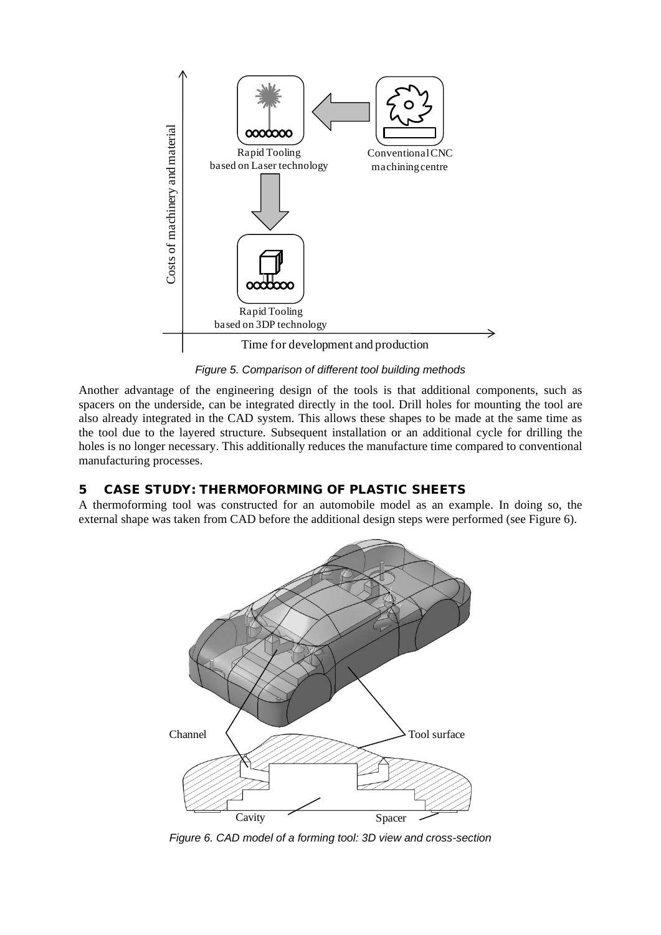

*Figure 5. Comparison of different tool building methods*

Another advantage of the engineering design of the tools is that additional components, such as spacers on the underside, can be integrated directly in the tool. Drill holes for mounting the tool are also already integrated in the CAD system. This allows these shapes to be made at the same time as the tool due to the layered structure. Subsequent installation or an additional cycle for drilling the holes is no longer necessary. This additionally reduces the manufacture time compared to conventional manufacturing processes.

# 5 CASE STUDY: THERMOFORMING OF PLASTIC SHEETS

A thermoforming tool was constructed for an automobile model as an example. In doing so, the external shape was taken from CAD before the additional design steps were performed (see Figure 6).



*Figure 6. CAD model of a forming tool: 3D view and cross-section*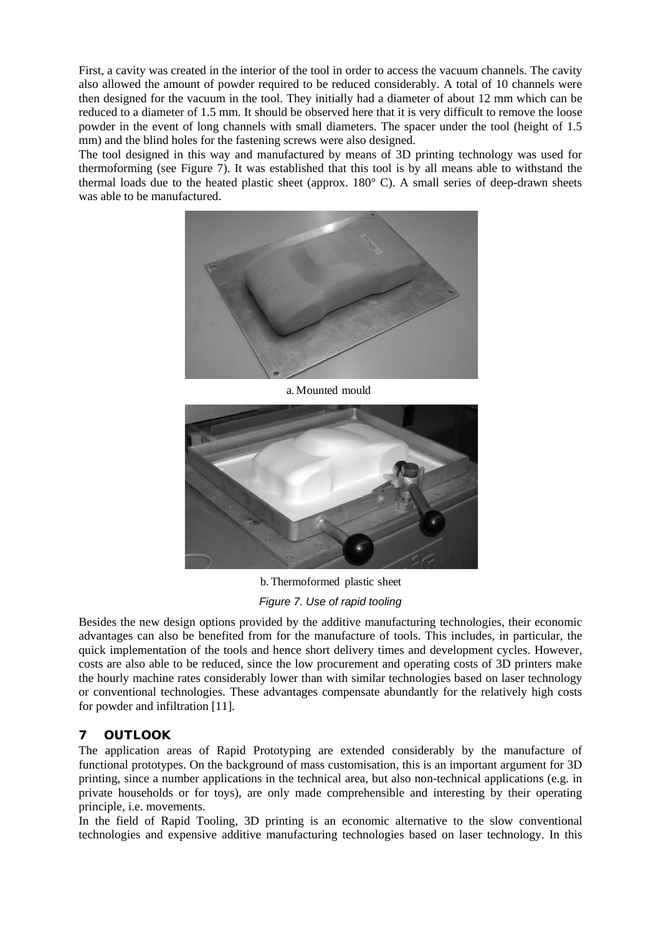First, a cavity was created in the interior of the tool in order to access the vacuum channels. The cavity also allowed the amount of powder required to be reduced considerably. A total of 10 channels were then designed for the vacuum in the tool. They initially had a diameter of about 12 mm which can be reduced to a diameter of 1.5 mm. It should be observed here that it is very difficult to remove the loose powder in the event of long channels with small diameters. The spacer under the tool (height of 1.5 mm) and the blind holes for the fastening screws were also designed.

The tool designed in this way and manufactured by means of 3D printing technology was used for thermoforming (see Figure 7). It was established that this tool is by all means able to withstand the thermal loads due to the heated plastic sheet (approx. 180° C). A small series of deep-drawn sheets was able to be manufactured.



a. Mounted mould



b. Thermoformed plastic sheet *Figure 7. Use of rapid tooling*

Besides the new design options provided by the additive manufacturing technologies, their economic advantages can also be benefited from for the manufacture of tools. This includes, in particular, the quick implementation of the tools and hence short delivery times and development cycles. However, costs are also able to be reduced, since the low procurement and operating costs of 3D printers make the hourly machine rates considerably lower than with similar technologies based on laser technology or conventional technologies. These advantages compensate abundantly for the relatively high costs for powder and infiltration [11].

# 7 OUTLOOK

The application areas of Rapid Prototyping are extended considerably by the manufacture of functional prototypes. On the background of mass customisation, this is an important argument for 3D printing, since a number applications in the technical area, but also non-technical applications (e.g. in private households or for toys), are only made comprehensible and interesting by their operating principle, i.e. movements.

In the field of Rapid Tooling, 3D printing is an economic alternative to the slow conventional technologies and expensive additive manufacturing technologies based on laser technology. In this